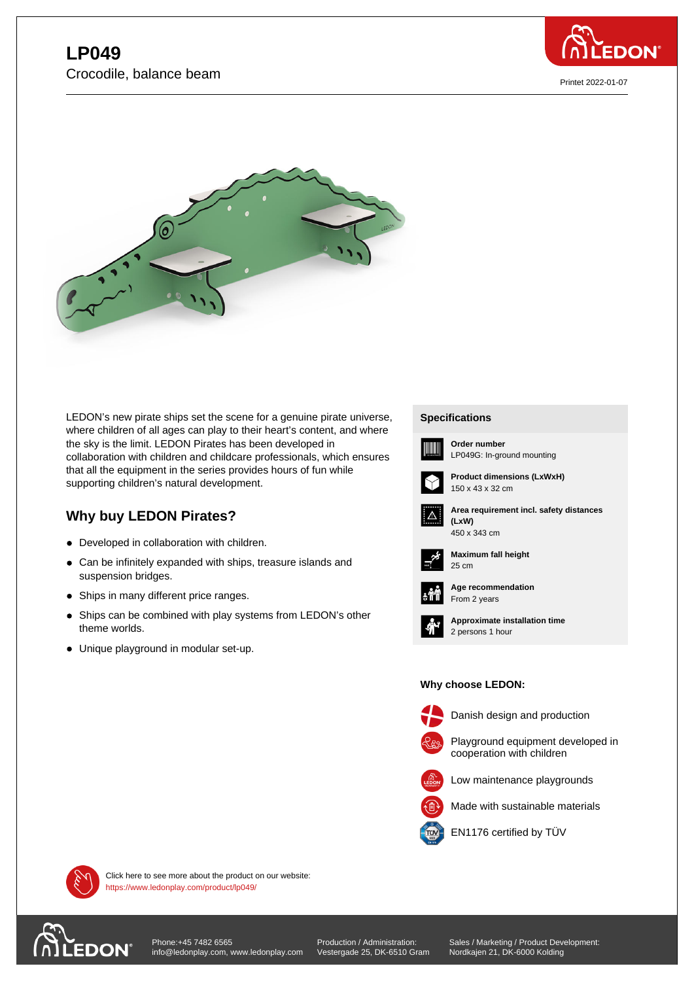



LEDON's new pirate ships set the scene for a genuine pirate universe, where children of all ages can play to their heart's content, and where the sky is the limit. LEDON Pirates has been developed in collaboration with children and childcare professionals, which ensures that all the equipment in the series provides hours of fun while supporting children's natural development.

## **Why buy LEDON Pirates?**

- Developed in collaboration with children.
- Can be infinitely expanded with ships, treasure islands and suspension bridges.
- Ships in many different price ranges.
- Ships can be combined with play systems from LEDON's other theme worlds.
- Unique playground in modular set-up.

## **Specifications Specifications**



**Order number** LP049G: In-ground mounting



**Product dimensions (LxWxH)** 150 x 43 x 32 cm



**Area requirement incl. safety distances (LxW) (LxW)**



**Maximum fall height** 25 cm 25 cm



**Age recommendation** From 2 years



**Approximate installation time** 2 persons 1 hour

## **Why choose LEDON: Why choose LEDON:**



Danish design and production



Playground equipment developed in cooperation with children



Made with sustainable materials



EN1176 certified by TÜV



Click here to see more about the product on our website: https://www.ledonplay.com/product/lp049/



[Phone:+45 7482 6565](https://www.ledonplay.com/product/lp049/) info@ledonplay.com, www.ledonplay.com Production / Administration: Vestergade 25, DK-6510 Gram Sales / Marketing / Product Development: Nordkajen 21, DK-6000 Kolding